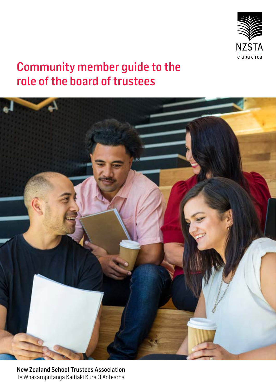

# Community member guide to the role of the board of trustees



New Zealand School Trustees Association Te Whakaroputanga Kaitiaki Kura O Aotearoa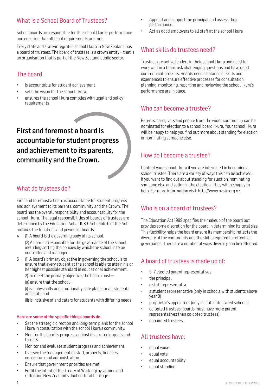# What is a School Board of Trustees?

School boards are responsible for the school | kura's performance and ensuring that all legal requirements are met.

Every state and state-integrated school | kura in New Zealand has a board of trustees. The board of trustees is a crown entity – that is an organisation that is part of the New Zealand public sector.

# The board

- is accountable for student achievement
- sets the vision for the school | kura
- ensures the school | kura complies with legal and policy requirements

First and foremost a board is accountable for student progress and achievement to its parents, community and the Crown.

# What do trustees do?

First and foremost a board is accountable for student progress and achievement to its parents, community and the Crown. The board has the overall responsibility and accountability for the school | kura. The legal responsibilities of boards of trustees are determined by the Education Act of 1989. Schedule 6 of the Act outlines the functions and powers of boards:

4 (1) A board is the governing body of its school.

 (2) A board is responsible for the governance of the school, including setting the policies by which the school is to be controlled and managed.

5 (1) A board's primary objective in governing the school is to ensure that every student at the school is able to attain his or her highest possible standard in educational achievement.

2) To meet the primary objective, the board must— (a) ensure that the school—

(i) is a physically and emotionally safe place for all students and staff; and

(ii) is inclusive of and caters for students with differing needs.

## Here are some of the specific things boards do:

- Set the strategic direction and long-term plans for the school | kura in consultation with the school | kura's community.
- Monitor the board's progress against its strategic goals and targets.
- Monitor and evaluate student progress and achievement.
- Oversee the management of staff, property, finances, curriculum and administration.
- Ensure that government priorities are met.
- Fulfil the intent of the Treaty of Waitangi by valuing and reflecting New Zealand's dual cultural heritage.
- Appoint and support the principal and assess their performance.
- Act as good employers to all staff at the school | kura

# What skills do trustees need?

Trustees are active leaders in their school | kura and need to work well in a team, ask challenging questions and have good communication skills. Boards need a balance of skills and experiences to ensure effective processes for consultation, planning, monitoring, reporting and reviewing the school | kura's performance are in place.

# Who can become a trustee?

Parents, caregivers and people from the wider community can be nominated for election to a school board | kura. Your school | kura will be happy to help you find out more about standing for election or nominating someone else.

# How do I become a trustee?

Contact your school | kura if you are interested in becoming a school trustee. There are a variety of ways this can be achieved. If you want to find out about standing for election, nominating someone else and voting in the election - they will be happy to help. For more information visit: http://www.nzsta.org.nz

# Who is on a board of trustees?

The Education Act 1989 specifies the makeup of the board but provides some discretion for the board in determining its total size. This flexibility helps the board ensure its membership reflects the diversity of the community and the skills required for effective governance. There are a number of ways diversity can be reflected.

# A board of trustees is made up of:

- 3–7 elected parent representatives
- the principal
- a staff representative
- a student representative (only in schools with students above year 9)
- proprietor's appointees (only in state integrated schools)
- co-opted trustees (boards must have more parent representatives than co-opted trustees)
- appointed trustees.

# All trustees have:

- equal voice
- equal vote
- equal accountability
- equal standing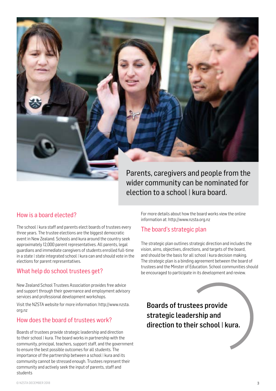

Parents, caregivers and people from the wider community can be nominated for election to a school | kura board.

# How is a board elected?

The school | kura staff and parents elect boards of trustees every three years. The trustee elections are the biggest democratic event in New Zealand. Schools and kura around the country seek approximately 12,000 parent representatives. All parents, legal guardians and immediate caregivers of students enrolled full-time in a state | state integrated school | kura can and should vote in the elections for parent representatives.

# What help do school trustees get?

New Zealand School Trustees Association provides free advice and support through their governance and employment advisory services and professional development workshops.

Visit the NZSTA website for more information: http://www.nzsta. org.nz

# How does the board of trustees work?

Boards of trustees provide strategic leadership and direction to their school | kura. The board works in partnership with the community, principal, teachers, support staff, and the government to ensure the best possible outcomes for all students. The importance of the partnership between a school | kura and its community cannot be stressed enough. Trustees represent their community and actively seek the input of parents, staff and students

For more details about how the board works view the online information at: http://www.nzsta.org.nz

# The board's strategic plan

The strategic plan outlines strategic direction and includes the vision, aims, objectives, directions, and targets of the board, and should be the basis for all school | kura decision making. The strategic plan is a binding agreement between the board of trustees and the Minster of Education. School communities should be encouraged to participate in its development and review.

Boards of trustees provide strategic leadership and direction to their school | kura.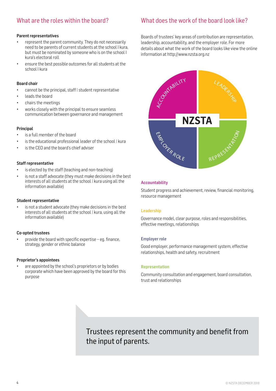# What are the roles within the board?

### Parent representatives

- represent the parent community. They do not necessarily need to be parents of current students at the school I kura, but must be nominated by someone who is on the school I kura's electoral roll
- ensure the best possible outcomes for all students at the school I kura

#### Board chair

- cannot be the principal, staff | student representative
- leads the board
- chairs the meetings
- works closely with the principal to ensure seamless communication between governance and management

#### Principal

- is a full member of the board
- is the educational professional leader of the school | kura
- is the CEO and the board's chief adviser

#### Staff representative

- is elected by the staff (teaching and non-teaching)
- is not a staff advocate (they must make decisions in the best interests of all students at the school | kura using all the information available)

#### Student representative

is not a student advocate (they make decisions in the best interests of all students at the school | kura, using all the information available)

#### Co-opted trustees

provide the board with specific expertise – eq. finance, strategy, gender or ethnic balance

#### Proprietor's appointees

are appointed by the school's proprietors or by bodies corporate which have been approved by the board for this purpose

# What does the work of the board look like?

Boards of trustees' key areas of contribution are representation, leadership, accountability, and the employer role. For more details about what the work of the board looks like view the online information at http://www.nzsta.org.nz



#### Accountability

Student progress and achievement, review, financial monitoring, resource management

#### Leadership

Governance model, clear purpose, roles and responsibilities, effective meetings, relationships

#### Employer role

Good employer, performance management system, effective relationships, health and safety, recruitment

#### Representation

Community consultation and engagement, board consultation, trust and relationships

# Trustees represent the community and benefit from the input of parents.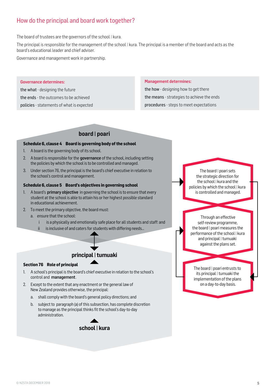# How do the principal and board work together?

The board of trustees are the governors of the school | kura.

The principal is responsible for the management of the school | kura. The principal is a member of the board and acts as the board's educational leader and chief adviser.

Governance and management work in partnership.

#### Governance determines:

the what - designing the future the ends - the outcomes to be achieved policies - statements of what is expected

#### Management determines:

the how - designing how to get there the means - strategies to achieve the ends procedures - steps to meet expectations

# **board | poari**

### **Schedule 6, clause 4 Board is governing body of the school**

- 1. A board is the governing body of its school.
- 2. A board is responsible for the governance of the school, including setting the policies by which the school is to be controlled and managed.
- 3. Under section 76, the principal is the board's chief executive in relation to the school's control and management.

### **Schedule 6, clause 5 Board's objectives in governing school**

- 1. A board's **primary objective** in governing the school is to ensure that every student at the school is able to attain his or her highest possible standard in educational achievement.
- 2. To meet the primary objective, the board must:
	- a. ensure that the school:
		- i is a physically and emotionally safe place for all students and staff: and
		- ii is inclusive of and caters for students with differing needs...

# **principal | tumuaki**

#### **Section 76 Role of principal**

- 1. A school's principal is the board's chief executive in relation to the school's control and management.
- 2. Except to the extent that any enactment or the general law of NewZealand provides otherwise, the principal:
	- a. shall comply with the board's general policy directions; and
	- b. subject to paragraph (a) of this subsection, has complete discretion to manage as the principal thinks fit the school's day-to-day administration.



The board I poari sets the strategic direction for the school | kura and the policies by which the school | kura is controlled and managed.

self-review programme, the board | poari measures the performance of the school | kura and principal | tumuaki against the plans set. Through an effective

The board | poari entrusts to its principal | tumuaki the implementation of the plans on a day-to-day basis.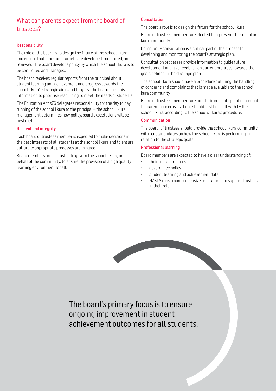# What can parents expect from the board of trustees?

# Responsibility

The role of the board is to design the future of the school | kura and ensure that plans and targets are developed, monitored, and reviewed. The board develops policy by which the school | kura is to be controlled and managed.

The board receives regular reports from the principal about student learning and achievement and progress towards the school | kura's strategic aims and targets. The board uses this information to prioritise resourcing to meet the needs of students.

The Education Act s76 delegates responsibility for the day to day running of the school | kura to the principal – the school | kura management determines how policy/board expectations will be best met.

## Respect and integrity

Each board of trustees member is expected to make decisions in the best interests of all students at the school | kura and to ensure culturally appropriate processes are in place.

Board members are entrusted to govern the school | kura, on behalf of the community, to ensure the provision of a high quality learning environment for all.

## **Consultation**

The board's role is to design the future for the school | kura.

Board of trustees members are elected to represent the school or kura community.

Community consultation is a critical part of the process for developing and monitoring the board's strategic plan.

Consultation processes provide information to guide future development and give feedback on current progress towards the goals defined in the strategic plan.

The school | kura should have a procedure outlining the handling of concerns and complaints that is made available to the school | kura community.

Board of trustees members are not the immediate point of contact for parent concerns as these should first be dealt with by the school | kura, according to the school's | kura's procedure.

### **Communication**

The board of trustees should provide the school | kura community with regular updates on how the school | kura is performing in relation to the strategic goals.

## Professional learning

Board members are expected to have a clear understanding of:

- their role as trustees
- governance policy
- student learning and achievement data.
- NZSTA runs a comprehensive programme to support trustees in their role.



The board's primary focus is to ensure ongoing improvement in student achievement outcomes for all students.

6 © NZSTA DECEMBER 2018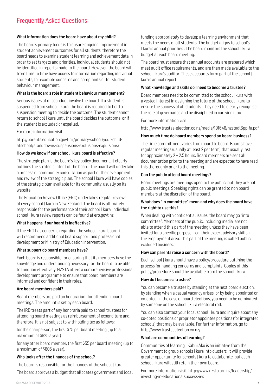# Frequently Asked Questions

### What information does the board have about my child?

The board's primary focus is to ensure ongoing improvement in student achievement outcomes for all students, therefore the board needs to examine student learning and achievement data in order to set targets and priorities. Individual students should not be identified in reports made to the board. However, the board will from time to time have access to information regarding individual students, for example concerns and complaints or for student behaviour management.

### What is the board's role in student behaviour management?

Serious issues of misconduct involve the board. If a student is suspended from school | kura, the board is required to hold a suspension meeting to decide the outcome. The student cannot return to school | kura until the board decides the outcome, or if the student is excluded or expelled.

For more information visit:

http://parents.education.govt.nz/primary-school/your-childatschool/standdowns-suspensions-exclusions-expulsions/

## How do we know if our school | kura board is effective?

The strategic plan is the board's key policy document. It clearly outlines the strategic intent of the board. The board will undertake a process of community consultation as part of the development and review of the strategic plan. The school | kura will have copies of the strategic plan available for its community, usually on its website.

The Education Review Office (ERO) undertakes regular reviews of every school | kura in New Zealand. The board is ultimately responsible for the performance of their school | kura. Individual school | kura review reports can be found at ero.govt.nz.

### What happens if our board is ineffective?

If the ERO has concerns regarding the school | kura board, it will recommend additional board support and professional development or Ministry of Education intervention.

### What support do board members have?

Each board is responsible for ensuring that its members have the knowledge and understanding necessary for the board to be able to function effectively. NZSTA offers a comprehensive professional development programme to ensure that board members are informed and confident in their roles.

## Are board members paid?

Board members are paid an honorarium for attending board meetings. The amount is set by each board.

The IRD treats part of any honoraria paid to school trustees for attending board meetings as reimbursement of expenditure and, therefore, it is not subject to withholding tax as follows:

for the chairperson, the first \$75 per board meeting (up to a maximum of \$825 a year)

for any other board member, the first \$55 per board meeting (up to a maximum of \$605 a year).

## Who looks after the finances of the school?

The board is responsible for the finances of the school | kura.

The board approves a budget that allocates government and local

funding appropriately to develop a learning environment that meets the needs of all students. The budget aligns to school's | kura's annual priorities . The board monitors the school | kura budget at each board meeting.

The board must ensure that annual accounts are prepared which meet audit office requirements, and are then made available to the school | kura's auditor. These accounts form part of the school | kura's annual report.

### What knowledge and skills do I need to become a trustee?

Board members need to be committed to the school | kura with a vested interest in designing the future of the school | kura to ensure the success of all students. They need to clearly recognise the role of governance and be disciplined in carrying it out.

For more information visit:

http://www.trustee-election.co.nz/media/191646/nzstadl6pp-fa.pdf

### How much time do board members spend on board business?

The time commitment varies from board to board. Boards have regular meetings (usually at least 2 per term) that usually last for approximately 2 – 2.5 hours. Board members are sent all documentation prior to the meeting and are expected to have read this thoroughly prior to the meeting.

### Can the public attend board meetings?

Board meetings are meetings open to the public, but they are not public meetings. Speaking rights can be granted to non board members at the discretion of the board.

### What does "in committee" mean and why does the board have the right to use this?

When dealing with confidential issues, the board may go "into committee". Members of the public, including media, are not able to attend this part of the meeting unless they have been invited for a specific purpose – eg. their expert advisory skills in the employment area. This part of the meeting is called public excluded business.

### How can parents raise a concern with the board?

Each school | kura should have a policy/procedure outlining the process for handling concerns and complaints. Copies of this policy/procedure should be available from the school | kura.

### How do I become a trustee?

You can become a trustee by standing at the next board election, by standing when a casual vacancy arises, or by being appointed or co-opted. In the case of board elections, you need to be nominated by someone on the school | kura electoral roll.

You can also contact your local school | kura and inquire about any co-opted positions or proprietor appointee positions (for integrated schools) that may be available. For further information, go to http://www.trusteeelection.co.nz/

### What are communities of learning?

Communities of learning | Kāhui Ako is an initiative from the Government to group schools | kura into clusters. It will provide greater opportunity for schools | kura to collaborate, but each school | kura will still retain their own board.

For more information visit: http://www.nzsta.org.nz/leadership/ investing-in-educationalsuccess-ies